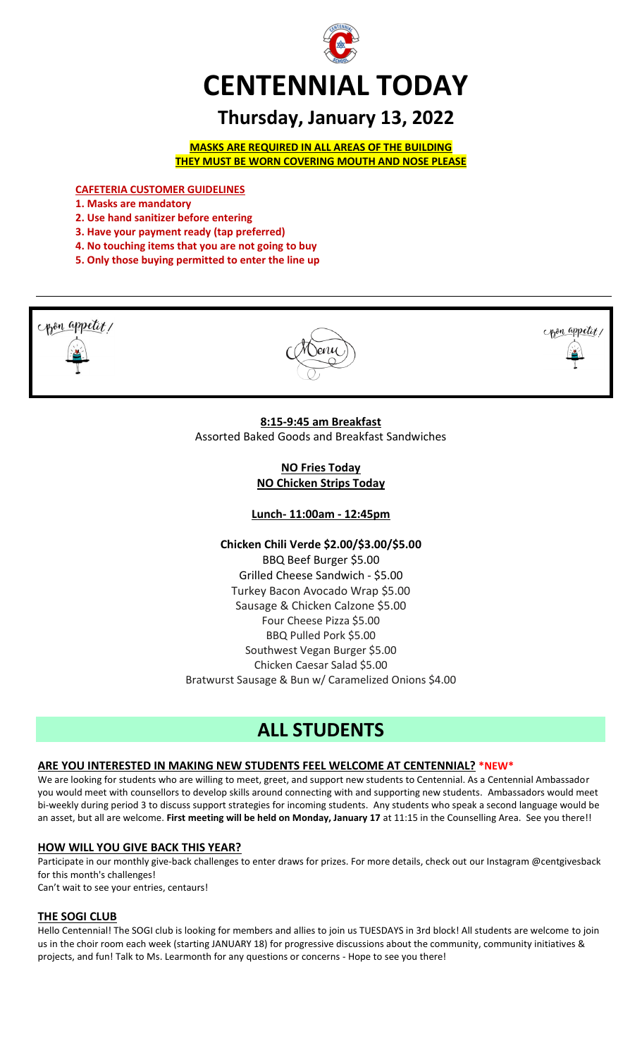

# **Thursday, January 13, 2022**

**MASKS ARE REQUIRED IN ALL AREAS OF THE BUILDING THEY MUST BE WORN COVERING MOUTH AND NOSE PLEASE**

**CAFETERIA CUSTOMER GUIDELINES**

- **1. Masks are mandatory**
- **2. Use hand sanitizer before entering**
- **3. Have your payment ready (tap preferred)**
- **4. No touching items that you are not going to buy**
- **5. Only those buying permitted to enter the line up**



**NO Fries Today NO Chicken Strips Today**

**Lunch- 11:00am - 12:45pm**

**Chicken Chili Verde \$2.00/\$3.00/\$5.00** BBQ Beef Burger \$5.00 Grilled Cheese Sandwich - \$5.00 Turkey Bacon Avocado Wrap \$5.00 Sausage & Chicken Calzone \$5.00 Four Cheese Pizza \$5.00 BBQ Pulled Pork \$5.00 Southwest Vegan Burger \$5.00 Chicken Caesar Salad \$5.00 Bratwurst Sausage & Bun w/ Caramelized Onions \$4.00

# **ALL STUDENTS**

#### **ARE YOU INTERESTED IN MAKING NEW STUDENTS FEEL WELCOME AT CENTENNIAL? \*NEW\***

We are looking for students who are willing to meet, greet, and support new students to Centennial. As a Centennial Ambassador you would meet with counsellors to develop skills around connecting with and supporting new students. Ambassadors would meet bi-weekly during period 3 to discuss support strategies for incoming students. Any students who speak a second language would be an asset, but all are welcome. **First meeting will be held on Monday, January 17** at 11:15 in the Counselling Area. See you there!!

#### **HOW WILL YOU GIVE BACK THIS YEAR?**

Participate in our monthly give-back challenges to enter draws for prizes. For more details, check out our Instagram @centgivesback for this month's challenges!

Can't wait to see your entries, centaurs!

#### **THE SOGI CLUB**

Hello Centennial! The SOGI club is looking for members and allies to join us TUESDAYS in 3rd block! All students are welcome to join us in the choir room each week (starting JANUARY 18) for progressive discussions about the community, community initiatives & projects, and fun! Talk to Ms. Learmonth for any questions or concerns - Hope to see you there!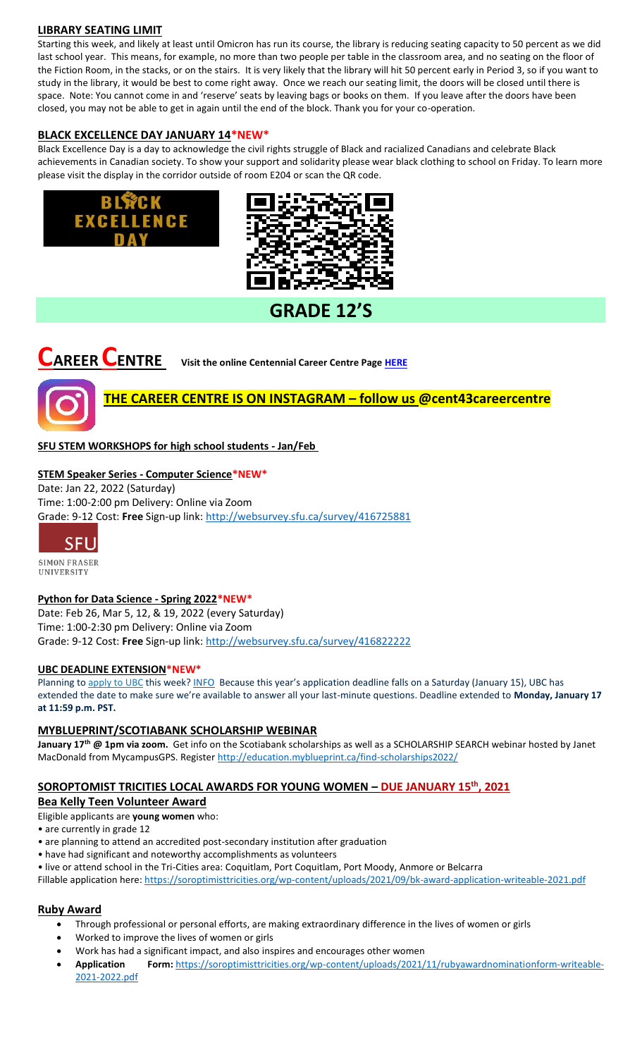#### **LIBRARY SEATING LIMIT**

Starting this week, and likely at least until Omicron has run its course, the library is reducing seating capacity to 50 percent as we did last school year. This means, for example, no more than two people per table in the classroom area, and no seating on the floor of the Fiction Room, in the stacks, or on the stairs. It is very likely that the library will hit 50 percent early in Period 3, so if you want to study in the library, it would be best to come right away. Once we reach our seating limit, the doors will be closed until there is space. Note: You cannot come in and 'reserve' seats by leaving bags or books on them. If you leave after the doors have been closed, you may not be able to get in again until the end of the block. Thank you for your co-operation.

## **BLACK EXCELLENCE DAY JANUARY 14\*NEW\***

**EXCELLENCE** 

Black Excellence Day is a day to acknowledge the civil rights struggle of Black and racialized Canadians and celebrate Black achievements in Canadian society. To show your support and solidarity please wear black clothing to school on Friday. To learn more please visit the display in the corridor outside of room E204 or scan the QR code.



# **GRADE 12'S**

# **CCCCENTRE** Visit the online Centennial Career Centre Page **HERE**



# **THE CAREER CENTRE IS ON INSTAGRAM – follow us @cent43careercentre**

# **SFU STEM WORKSHOPS for high school students - Jan/Feb**

#### **STEM Speaker Series - Computer Science\*NEW\***

Date: Jan 22, 2022 (Saturday) Time: 1:00-2:00 pm Delivery: Online via Zoom Grade: 9-12 Cost: **Free** Sign-up link: <http://websurvey.sfu.ca/survey/416725881>



SIMON FRASER UNIVERSITY

#### **Python for Data Science - Spring 2022\*NEW\***

Date: Feb 26, Mar 5, 12, & 19, 2022 (every Saturday) Time: 1:00-2:30 pm Delivery: Online via Zoom Grade: 9-12 Cost: **Free** Sign-up link: <http://websurvey.sfu.ca/survey/416822222>

#### **UBC DEADLINE EXTENSION\*NEW\***

Planning to [apply to UBC](https://ssc.adm.ubc.ca/sscportal/apply.xhtml) this week[? INFO](https://you.ubc.ca/applying-ubc/blog/dates-and-deadlines/application-deadline-extension/#:~:text=Planning%20to%20apply%20to%20UBC,Time%20to%20submit%20your%20application) Because this year's application deadline falls on a Saturday (January 15), UBC has extended the date to make sure we're available to answer all your last-minute questions. Deadline extended to **Monday, January 17 at 11:59 p.m. PST.**

#### **MYBLUEPRINT/SCOTIABANK SCHOLARSHIP WEBINAR**

**January 17th @ 1pm via zoom.** Get info on the Scotiabank scholarships as well as a SCHOLARSHIP SEARCH webinar hosted by Janet MacDonald from MycampusGPS. Registe[r http://education.myblueprint.ca/find-scholarships2022/](http://education.myblueprint.ca/find-scholarships2022/)

#### **SOROPTOMIST TRICITIES LOCAL AWARDS FOR YOUNG WOMEN – DUE JANUARY 15th, 2021**

#### **Bea Kelly Teen Volunteer Award**

Eligible applicants are **young women** who:

• are currently in grade 12

- are planning to attend an accredited post-secondary institution after graduation
- have had significant and noteworthy accomplishments as volunteers
- live or attend school in the Tri-Cities area: Coquitlam, Port Coquitlam, Port Moody, Anmore or Belcarra

Fillable application here:<https://soroptimisttricities.org/wp-content/uploads/2021/09/bk-award-application-writeable-2021.pdf>

#### **Ruby Award**

- Through professional or personal efforts, are making extraordinary difference in the lives of women or girls
- Worked to improve the lives of women or girls
- Work has had a significant impact, and also inspires and encourages other women
- **Application Form:** [https://soroptimisttricities.org/wp-content/uploads/2021/11/rubyawardnominationform-writeable-](https://soroptimisttricities.org/wp-content/uploads/2021/11/rubyawardnominationform-writeable-2021-2022.pdf)[2021-2022.pdf](https://soroptimisttricities.org/wp-content/uploads/2021/11/rubyawardnominationform-writeable-2021-2022.pdf)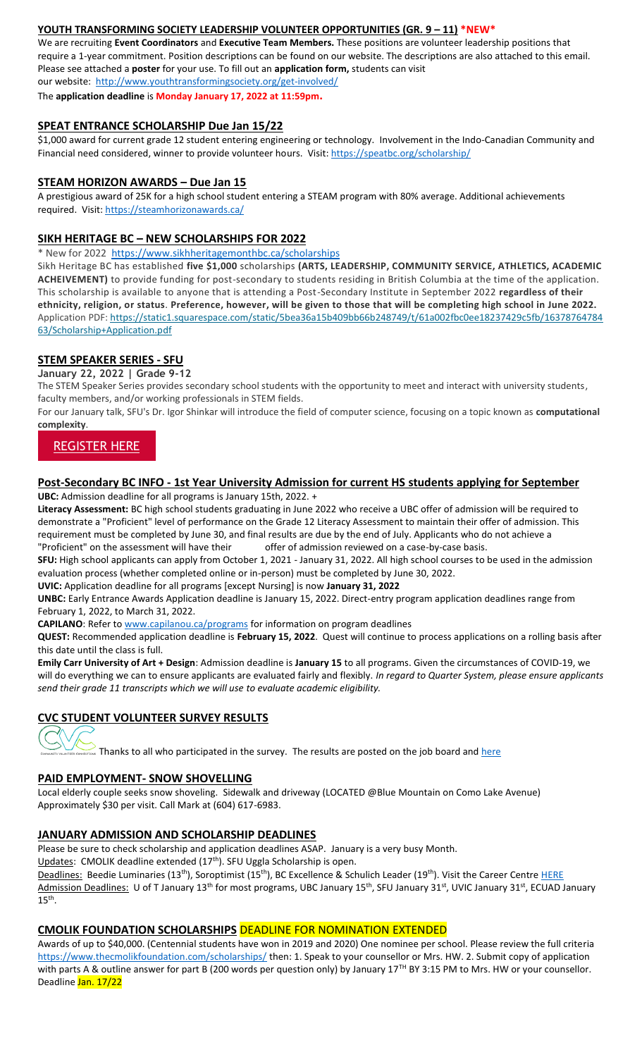#### **YOUTH TRANSFORMING SOCIETY LEADERSHIP VOLUNTEER OPPORTUNITIES (GR. 9 – 11) \*NEW\***

We are recruiting **Event Coordinators** and **Executive Team Members.** These positions are volunteer leadership positions that require a 1-year commitment. Position descriptions can be found on our website. The descriptions are also attached to this email. Please see attached a **poster** for your use. To fill out an **application form,** students can visit our website:<http://www.youthtransformingsociety.org/get-involved/>

The **application deadline** is **Monday January 17, 2022 at 11:59pm.**

#### **SPEAT ENTRANCE SCHOLARSHIP Due Jan 15/22**

\$1,000 award for current grade 12 student entering engineering or technology. Involvement in the Indo-Canadian Community and Financial need considered, winner to provide volunteer hours. Visit[: https://speatbc.org/scholarship/](https://speatbc.org/scholarship/)

#### **STEAM HORIZON AWARDS – Due Jan 15**

A prestigious award of 25K for a high school student entering a STEAM program with 80% average. Additional achievements required. Visit[: https://steamhorizonawards.ca/](https://steamhorizonawards.ca/)

#### **SIKH HERITAGE BC – NEW SCHOLARSHIPS FOR 2022**

New for 2022 <https://www.sikhheritagemonthbc.ca/scholarships>

Sikh Heritage BC has established **five \$1,000** scholarships **(ARTS, LEADERSHIP, COMMUNITY SERVICE, ATHLETICS, ACADEMIC ACHEIVEMENT)** to provide funding for post-secondary to students residing in British Columbia at the time of the application. This scholarship is available to anyone that is attending a Post-Secondary Institute in September 2022 **regardless of their ethnicity, religion, or status**. **Preference, however, will be given to those that will be completing high school in June 2022.** Application PDF: [https://static1.squarespace.com/static/5bea36a15b409bb66b248749/t/61a002fbc0ee18237429c5fb/16378764784](https://static1.squarespace.com/static/5bea36a15b409bb66b248749/t/61a002fbc0ee18237429c5fb/1637876478463/Scholarship+Application.pdf) [63/Scholarship+Application.pdf](https://static1.squarespace.com/static/5bea36a15b409bb66b248749/t/61a002fbc0ee18237429c5fb/1637876478463/Scholarship+Application.pdf)

## **STEM SPEAKER SERIES - SFU**

**January 22, 2022 | Grade 9-12**

The STEM Speaker Series provides secondary school students with the opportunity to meet and interact with university students, faculty members, and/or working professionals in STEM fields.

For our January talk, SFU's Dr. Igor Shinkar will introduce the field of computer science, focusing on a topic known as **computational complexity**.

# [REGISTER HERE](https://trk.cp20.com/click/cgl6-2hmnwy-tavp2y-g4wswz82/)

#### **Post-Secondary BC INFO - 1st Year University Admission for current HS students applying for September**

**UBC:** Admission deadline for all programs is January 15th, 2022. +

**Literacy Assessment:** BC high school students graduating in June 2022 who receive a UBC offer of admission will be required to demonstrate a "Proficient" level of performance on the Grade 12 Literacy Assessment to maintain their offer of admission. This requirement must be completed by June 30, and final results are due by the end of July. Applicants who do not achieve a "Proficient" on the assessment will have their offer of admission reviewed on a case-by-case basis.

**SFU:** High school applicants can apply from October 1, 2021 - January 31, 2022. All high school courses to be used in the admission evaluation process (whether completed online or in-person) must be completed by June 30, 2022.

**UVIC:** Application deadline for all programs [except Nursing] is now **January 31, 2022**

**UNBC:** Early Entrance Awards Application deadline is January 15, 2022. Direct-entry program application deadlines range from February 1, 2022, to March 31, 2022.

**CAPILANO**: Refer to [www.capilanou.ca/programs](http://www.capilanou.ca/programs) for information on program deadlines

**QUEST:** Recommended application deadline is **February 15, 2022**. Quest will continue to process applications on a rolling basis after this date until the class is full.

**Emily Carr University of Art + Design**: Admission deadline is **January 15** to all programs. Given the circumstances of COVID-19, we will do everything we can to ensure applicants are evaluated fairly and flexibly. *In regard to Quarter System, please ensure applicants send their grade 11 transcripts which we will use to evaluate academic eligibility.*

#### **CVC STUDENT VOLUNTEER SURVEY RESULTS**



Thanks to all who participated in the survey. The results are posted on the job board and [here](https://www.sd43.bc.ca/school/centennial/ProgramsServices/CareerCentre/experiences/Pages/default.aspx#/=)

#### **PAID EMPLOYMENT- SNOW SHOVELLING**

Local elderly couple seeks snow shoveling. Sidewalk and driveway (LOCATED @Blue Mountain on Como Lake Avenue) Approximately \$30 per visit. Call Mark at (604) 617-6983.

#### **JANUARY ADMISSION AND SCHOLARSHIP DEADLINES**

Please be sure to check scholarship and application deadlines ASAP. January is a very busy Month.

Updates: CMOLIK deadline extended (17<sup>th</sup>). SFU Uggla Scholarship is open.

Deadlines: Beedie Luminaries (13<sup>th</sup>), Soroptimist (15<sup>th</sup>), BC Excellence & Schulich Leader (19<sup>th</sup>). Visit the Career Centre [HERE](https://www.sd43.bc.ca/school/centennial/ProgramsServices/CareerCentre/financeawards/Pages/default.aspx#/=) Admission Deadlines: U of T January 13<sup>th</sup> for most programs, UBC January 15<sup>th</sup>, SFU January 31<sup>st</sup>, UVIC January 31<sup>st</sup>, ECUAD January  $15<sup>th</sup>$ .

#### **CMOLIK FOUNDATION SCHOLARSHIPS** DEADLINE FOR NOMINATION EXTENDED

Awards of up to \$40,000. (Centennial students have won in 2019 and 2020) One nominee per school. Please review the full criteria <https://www.thecmolikfoundation.com/scholarships/> then: 1. Speak to your counsellor or Mrs. HW. 2. Submit copy of application with parts A & outline answer for part B (200 words per question only) by January 17<sup>TH</sup> BY 3:15 PM to Mrs. HW or your counsellor. Deadline Jan. 17/22